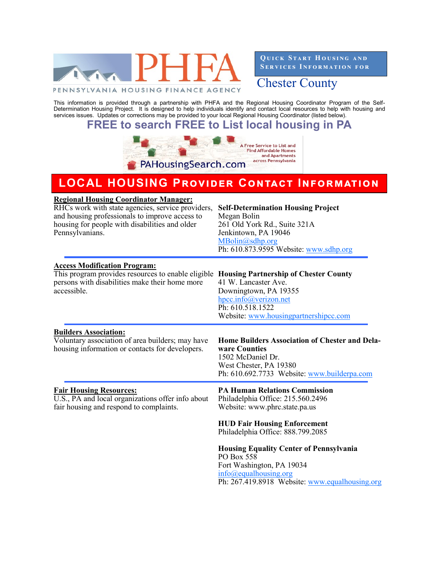

**QUICK START HOUSING AND SERVICES INFORMATION FOR** 

Chester County

This information is provided through a partnership with PHFA and the Regional Housing Coordinator Program of the Self-Determination Housing Project. It is designed to help individuals identify and contact local resources to help with housing and services issues. Updates or corrections may be provided to your local Regional Housing Coordinator (listed below).

# **FREE to search FREE to List local housing in PA**



# **LOCAL HOUSING Provider Contact Information**

| <b>Regional Housing Coordinator Manager:</b>                                                                                                                             |                                                                                                                                                                               |
|--------------------------------------------------------------------------------------------------------------------------------------------------------------------------|-------------------------------------------------------------------------------------------------------------------------------------------------------------------------------|
| RHCs work with state agencies, service providers,<br>and housing professionals to improve access to<br>housing for people with disabilities and older<br>Pennsylvanians. | <b>Self-Determination Housing Project</b><br>Megan Bolin<br>261 Old York Rd., Suite 321A<br>Jenkintown, PA 19046<br>MBolin@sdhp.org<br>Ph: 610.873.9595 Website: www.sdhp.org |
| <b>Access Modification Program:</b>                                                                                                                                      |                                                                                                                                                                               |
| This program provides resources to enable eligible Housing Partnership of Chester County<br>persons with disabilities make their home more<br>accessible.                | 41 W. Lancaster Ave.<br>Downingtown, PA 19355<br>hpcc.info@verizon.net<br>Ph: 610.518.1522<br>Website: www.housingpartnershipcc.com                                           |
| <b>Builders Association:</b>                                                                                                                                             |                                                                                                                                                                               |
| Voluntary association of area builders; may have<br>housing information or contacts for developers.                                                                      | <b>Home Builders Association of Chester and Dela-</b><br>ware Counties<br>1502 McDaniel Dr.<br>West Chester, PA 19380<br>Ph: 610.692.7733 Website: www.builderpa.com          |
| <b>Fair Housing Resources:</b>                                                                                                                                           | <b>PA Human Relations Commission</b>                                                                                                                                          |
| U.S., PA and local organizations offer info about<br>fair housing and respond to complaints.                                                                             | Philadelphia Office: 215.560.2496<br>Website: www.phrc.state.pa.us                                                                                                            |
|                                                                                                                                                                          | <b>HUD Fair Housing Enforcement</b><br>Philadelphia Office: 888.799.2085                                                                                                      |
|                                                                                                                                                                          | <b>Housing Equality Center of Pennsylvania</b>                                                                                                                                |
|                                                                                                                                                                          | PO Box 558<br>Fort Washington, PA 19034                                                                                                                                       |
|                                                                                                                                                                          | $info(\omega)$ equalhousing.org                                                                                                                                               |
|                                                                                                                                                                          | Ph: 267.419.8918 Website: www.equalhousing.org                                                                                                                                |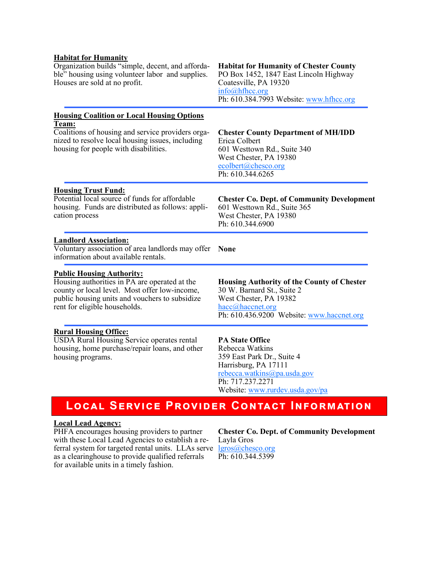### **Habitat for Humanity**

Organization builds "simple, decent, and affordable" housing using volunteer labor and supplies. Houses are sold at no profit.

# **Housing Coalition or Local Housing Options Team:**

Coalitions of housing and service providers organized to resolve local housing issues, including housing for people with disabilities.

### **Habitat for Humanity of Chester County** PO Box 1452, 1847 East Lincoln Highway Coatesville, PA 19320 [info@hfhcc.org](mailto:info@hfhcc.org) Ph: 610.384.7993 Website: [www.hfhcc.org](http://www.hfhcc.org)

# **Chester County Department of MH/IDD** Erica Colbert 601 Westtown Rd., Suite 340 West Chester, PA 19380 [ecolbert@chesco.org](mailto:ecolbert@chesco.org) Ph: 610.344.6265

### **Housing Trust Fund:**

Potential local source of funds for affordable housing. Funds are distributed as follows: application process

# **Chester Co. Dept. of Community Development** 601 Westtown Rd., Suite 365 West Chester, PA 19380 Ph: 610.344.6900

# **Landlord Association:**

Voluntary association of area landlords may offer **None** information about available rentals.

# **Public Housing Authority:**

Housing authorities in PA are operated at the county or local level. Most offer low-income, public housing units and vouchers to subsidize rent for eligible households.

# **Rural Housing Office:**

USDA Rural Housing Service operates rental housing, home purchase/repair loans, and other housing programs.

**Housing Authority of the County of Chester** 30 W. Barnard St., Suite 2 West Chester, PA 19382 [hacc@haccnet.org](mailto:hacc@haccnet.org) Ph: 610.436.9200 Website: [www.haccnet.org](http://www.haccnet.org)

# **PA State Office**

Rebecca Watkins 359 East Park Dr., Suite 4 Harrisburg, PA 17111 [rebecca.watkins@pa.usda.gov](mailto:rebecca.watkins@pa.usda.gov) Ph: 717.237.2271 Website: [www.rurdev.usda.gov/pa](http://www.rurdev.usda.gov/pa)

# **Local Service Provider Contact Information**

#### **Local Lead Agency:**

PHFA encourages housing providers to partner with these Local Lead Agencies to establish a referral system for targeted rental units. LLAs serve [lgros@chesco.org](mailto:lgros@chesco.org) as a clearinghouse to provide qualified referrals for available units in a timely fashion.

**Chester Co. Dept. of Community Development** Layla Gros Ph: 610.344.5399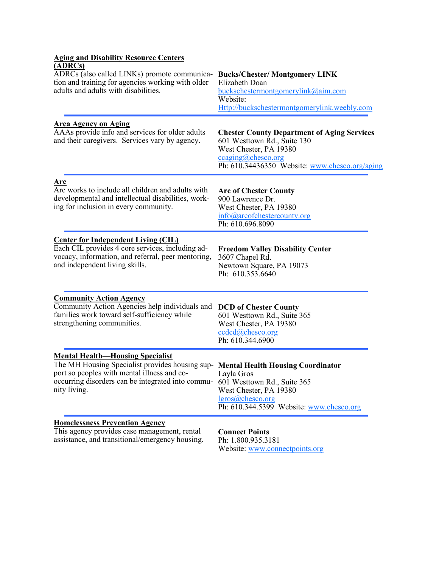| <b>Aging and Disability Resource Centers</b>                                                                                                                                                                                                                   |                                                                                                                                                                                          |
|----------------------------------------------------------------------------------------------------------------------------------------------------------------------------------------------------------------------------------------------------------------|------------------------------------------------------------------------------------------------------------------------------------------------------------------------------------------|
| (ADRCs)<br>ADRCs (also called LINKs) promote communica- Bucks/Chester/ Montgomery LINK<br>tion and training for agencies working with older<br>adults and adults with disabilities.                                                                            | Elizabeth Doan<br>buckschestermontgomerylink@aim.com<br>Website:<br>Http://buckschestermontgomerylink.weebly.com                                                                         |
| <b>Area Agency on Aging</b><br>AAAs provide info and services for older adults<br>and their caregivers. Services vary by agency.                                                                                                                               | <b>Chester County Department of Aging Services</b><br>601 Westtown Rd., Suite 130<br>West Chester, PA 19380<br>$ccaging(a)$ chesco.org<br>Ph: 610.34436350 Website: www.chesco.org/aging |
| <u>Arc</u><br>Arc works to include all children and adults with<br>developmental and intellectual disabilities, work-<br>ing for inclusion in every community.                                                                                                 | <b>Arc of Chester County</b><br>900 Lawrence Dr.<br>West Chester, PA 19380<br>info@arcofchestercounty.org<br>Ph: 610.696.8090                                                            |
| <b>Center for Independent Living (CIL)</b><br>Each CIL provides 4 core services, including ad-<br>vocacy, information, and referral, peer mentoring,<br>and independent living skills.                                                                         | <b>Freedom Valley Disability Center</b><br>3607 Chapel Rd.<br>Newtown Square, PA 19073<br>Ph: 610.353.6640                                                                               |
| <b>Community Action Agency</b><br>Community Action Agencies help individuals and<br>families work toward self-sufficiency while<br>strengthening communities.                                                                                                  | <b>DCD</b> of Chester County<br>601 Westtown Rd., Suite 365<br>West Chester, PA 19380<br>ccdcd@chesco.org<br>Ph: 610.344.6900                                                            |
| <b>Mental Health—Housing Specialist</b><br>The MH Housing Specialist provides housing sup- Mental Health Housing Coordinator<br>port so peoples with mental illness and co-<br>Layla Gros<br>occurring disorders can be integrated into commu-<br>nity living. | 601 Westtown Rd., Suite 365<br>West Chester, PA 19380<br>lgros@chesco.org<br>Ph: 610.344.5399 Website: www.chesco.org                                                                    |
| <b>Homelessness Prevention Agency</b><br>This agency provides case management, rental<br>assistance, and transitional/emergency housing.                                                                                                                       | <b>Connect Points</b><br>Ph: 1.800.935.3181<br>Website: www.connectpoints.org                                                                                                            |